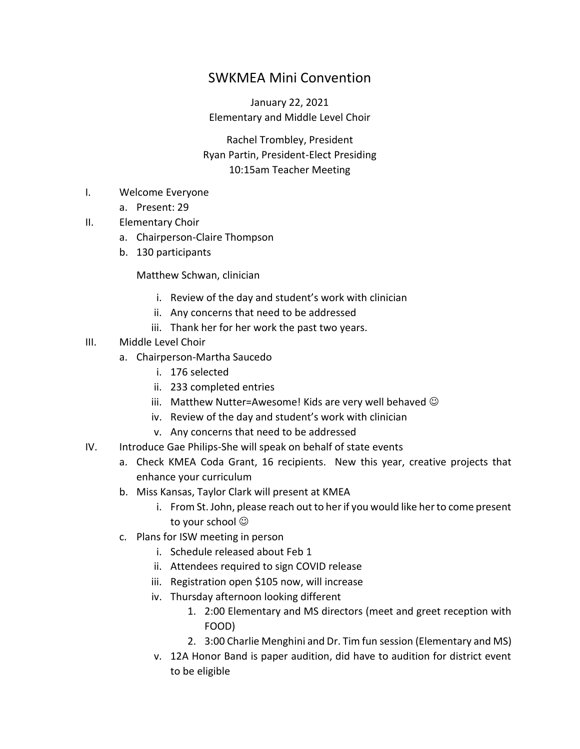## SWKMEA Mini Convention

January 22, 2021 Elementary and Middle Level Choir

Rachel Trombley, President Ryan Partin, President-Elect Presiding 10:15am Teacher Meeting

- I. Welcome Everyone
	- a. Present: 29
- II. Elementary Choir
	- a. Chairperson-Claire Thompson
	- b. 130 participants

#### Matthew Schwan, clinician

- i. Review of the day and student's work with clinician
- ii. Any concerns that need to be addressed
- iii. Thank her for her work the past two years.
- III. Middle Level Choir
	- a. Chairperson-Martha Saucedo
		- i. 176 selected
		- ii. 233 completed entries
		- iii. Matthew Nutter=Awesome! Kids are very well behaved  $\odot$
		- iv. Review of the day and student's work with clinician
		- v. Any concerns that need to be addressed
- IV. Introduce Gae Philips-She will speak on behalf of state events
	- a. Check KMEA Coda Grant, 16 recipients. New this year, creative projects that enhance your curriculum
	- b. Miss Kansas, Taylor Clark will present at KMEA
		- i. From St. John, please reach out to her if you would like her to come present to your school  $\odot$
	- c. Plans for ISW meeting in person
		- i. Schedule released about Feb 1
		- ii. Attendees required to sign COVID release
		- iii. Registration open \$105 now, will increase
		- iv. Thursday afternoon looking different
			- 1. 2:00 Elementary and MS directors (meet and greet reception with FOOD)
			- 2. 3:00 Charlie Menghini and Dr. Tim fun session (Elementary and MS)
		- v. 12A Honor Band is paper audition, did have to audition for district event to be eligible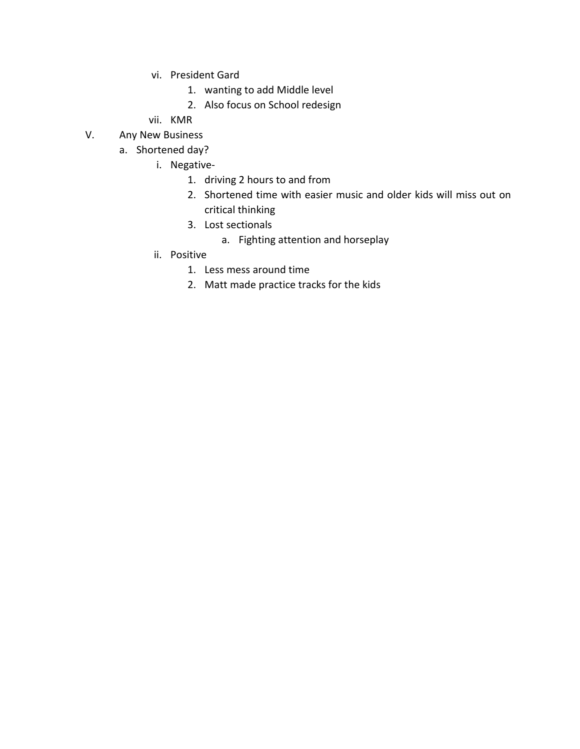- vi. President Gard
	- 1. wanting to add Middle level
	- 2. Also focus on School redesign
- vii. KMR
- V. Any New Business
	- a. Shortened day?
		- i. Negative-
			- 1. driving 2 hours to and from
			- 2. Shortened time with easier music and older kids will miss out on critical thinking
			- 3. Lost sectionals
				- a. Fighting attention and horseplay
		- ii. Positive
			- 1. Less mess around time
			- 2. Matt made practice tracks for the kids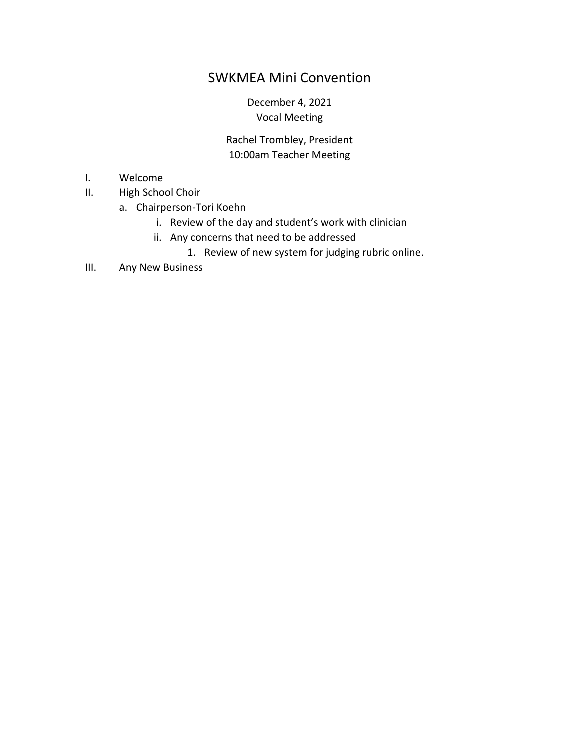# SWKMEA Mini Convention

#### December 4, 2021 Vocal Meeting

#### Rachel Trombley, President 10:00am Teacher Meeting

- I. Welcome
- II. High School Choir
	- a. Chairperson-Tori Koehn
		- i. Review of the day and student's work with clinician
		- ii. Any concerns that need to be addressed
			- 1. Review of new system for judging rubric online.
- III. Any New Business